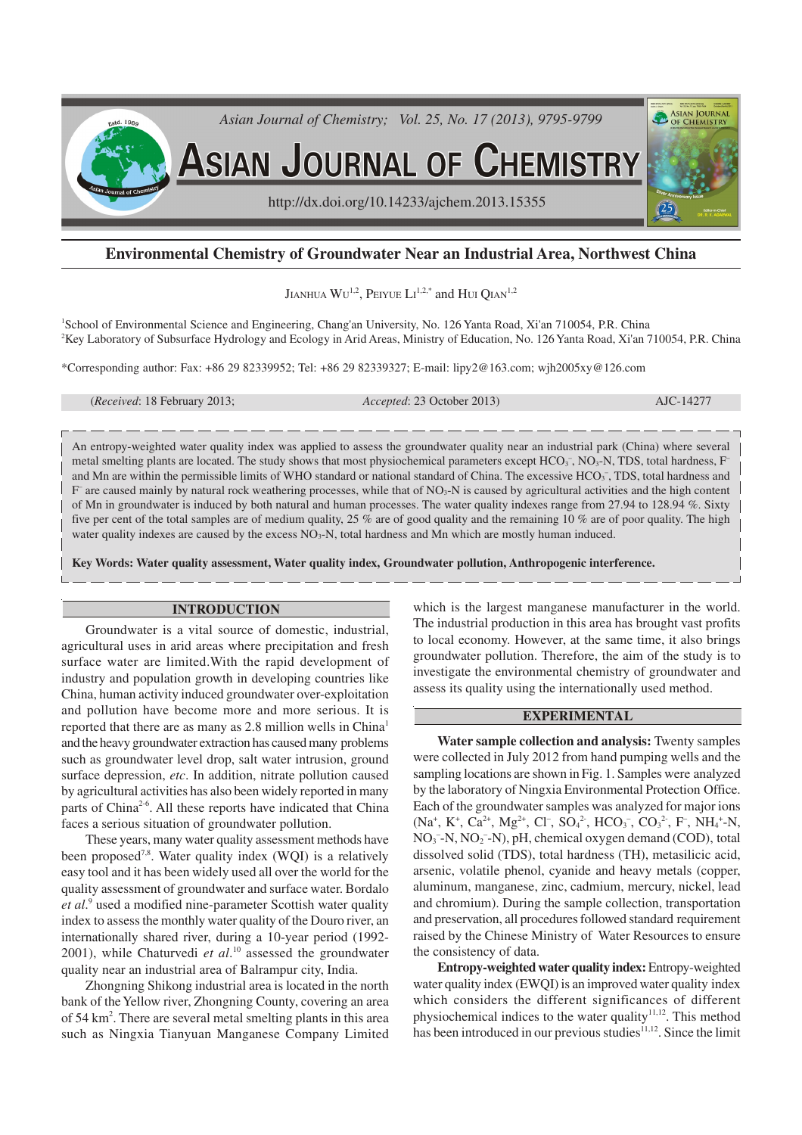

# **Environmental Chemistry of Groundwater Near an Industrial Area, Northwest China**

Jianhua  $\rm{Wu^{1,2},~Perve~Li^{1,2,*}}$  and  $\rm{H\bar{u}~Q\bar{u}m^{1,2}}$ 

<sup>1</sup>School of Environmental Science and Engineering, Chang'an University, No. 126 Yanta Road, Xi'an 710054, P.R. China <sup>2</sup>Key Laboratory of Subsurface Hydrology and Ecology in Arid Areas, Ministry of Education, No. 126 Yanta Road, Xi'an 710054, P.R. China

\*Corresponding author: Fax: +86 29 82339952; Tel: +86 29 82339327; E-mail: lipy2@163.com; wjh2005xy@126.com

(*Received*: 18 February 2013; *Accepted*: 23 October 2013) AJC-14277

An entropy-weighted water quality index was applied to assess the groundwater quality near an industrial park (China) where several metal smelting plants are located. The study shows that most physiochemical parameters except HCO<sub>3</sub><sup>-</sup>, NO<sub>3</sub>-N, TDS, total hardness, F<sup>-</sup> and Mn are within the permissible limits of WHO standard or national standard of China. The excessive  $HCO<sub>3</sub>$ , TDS, total hardness and F are caused mainly by natural rock weathering processes, while that of NO<sub>3</sub>-N is caused by agricultural activities and the high content of Mn in groundwater is induced by both natural and human processes. The water quality indexes range from 27.94 to 128.94 %. Sixty five per cent of the total samples are of medium quality, 25 % are of good quality and the remaining 10 % are of poor quality. The high water quality indexes are caused by the excess NO<sub>3</sub>-N, total hardness and Mn which are mostly human induced.

**Key Words: Water quality assessment, Water quality index, Groundwater pollution, Anthropogenic interference.**

## **INTRODUCTION**

Groundwater is a vital source of domestic, industrial, agricultural uses in arid areas where precipitation and fresh surface water are limited.With the rapid development of industry and population growth in developing countries like China, human activity induced groundwater over-exploitation and pollution have become more and more serious. It is reported that there are as many as 2.8 million wells in China<sup>1</sup> and the heavy groundwater extraction has caused many problems such as groundwater level drop, salt water intrusion, ground surface depression, *etc*. In addition, nitrate pollution caused by agricultural activities has also been widely reported in many parts of China<sup>2-6</sup>. All these reports have indicated that China faces a serious situation of groundwater pollution.

These years, many water quality assessment methods have been proposed<sup>7,8</sup>. Water quality index (WQI) is a relatively easy tool and it has been widely used all over the world for the quality assessment of groundwater and surface water. Bordalo et al.<sup>9</sup> used a modified nine-parameter Scottish water quality index to assess the monthly water quality of the Douro river, an internationally shared river, during a 10-year period (1992- 2001), while Chaturvedi *et al*. <sup>10</sup> assessed the groundwater quality near an industrial area of Balrampur city, India.

Zhongning Shikong industrial area is located in the north bank of the Yellow river, Zhongning County, covering an area of 54 km<sup>2</sup>. There are several metal smelting plants in this area such as Ningxia Tianyuan Manganese Company Limited

which is the largest manganese manufacturer in the world. The industrial production in this area has brought vast profits to local economy. However, at the same time, it also brings groundwater pollution. Therefore, the aim of the study is to investigate the environmental chemistry of groundwater and assess its quality using the internationally used method.

# **EXPERIMENTAL**

**Water sample collection and analysis:** Twenty samples were collected in July 2012 from hand pumping wells and the sampling locations are shown in Fig. 1. Samples were analyzed by the laboratory of Ningxia Environmental Protection Office. Each of the groundwater samples was analyzed for major ions  $(Na^+, K^+, Ca^{2+}, Mg^{2+}, Cl^-, SO_4^{2-}, HCO_3^-, CO_3^{2-}, F^-, NH_4^{+}-N,$ NO<sub>3</sub><sup>-</sup>-N, NO<sub>2</sub><sup>-</sup>-N), pH, chemical oxygen demand (COD), total dissolved solid (TDS), total hardness (TH), metasilicic acid, arsenic, volatile phenol, cyanide and heavy metals (copper, aluminum, manganese, zinc, cadmium, mercury, nickel, lead and chromium). During the sample collection, transportation and preservation, all procedures followed standard requirement raised by the Chinese Ministry of Water Resources to ensure the consistency of data.

**Entropy-weighted water quality index:** Entropy-weighted water quality index (EWQI) is an improved water quality index which considers the different significances of different physiochemical indices to the water quality<sup>11,12</sup>. This method has been introduced in our previous studies<sup>11,12</sup>. Since the limit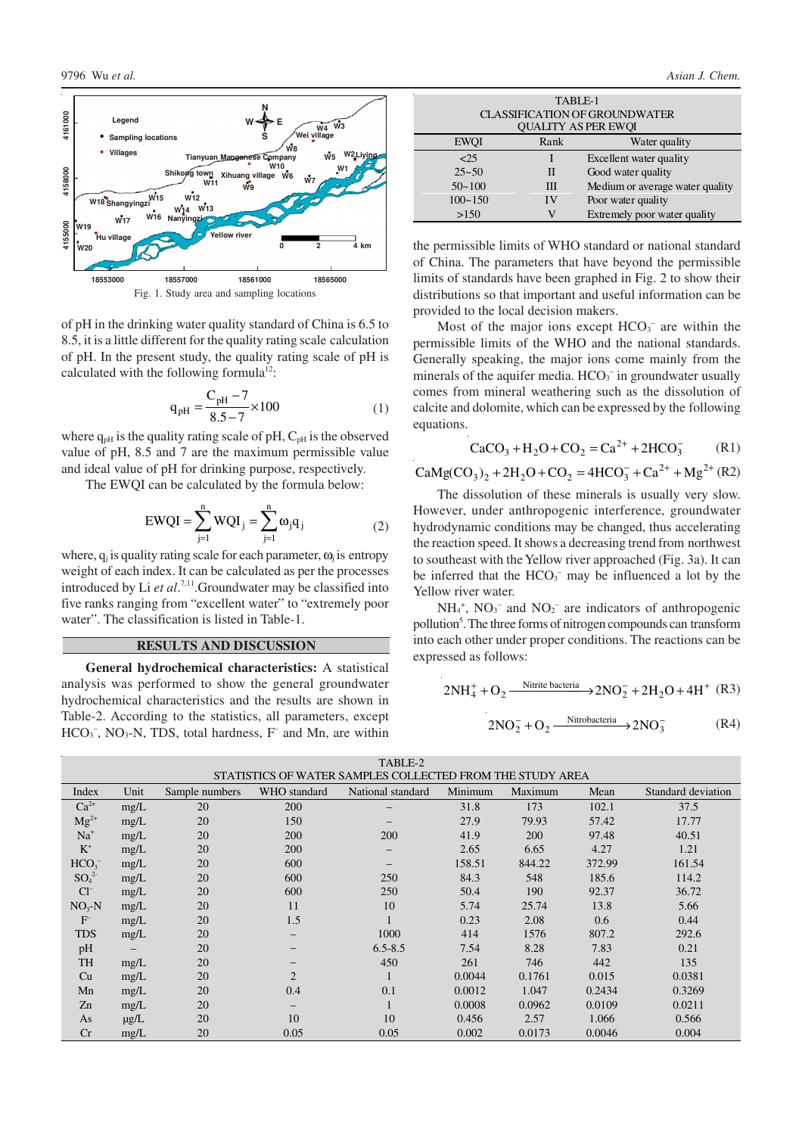

of pH in the drinking water quality standard of China is 6.5 to 8.5, it is a little different for the quality rating scale calculation of pH. In the present study, the quality rating scale of pH is calculated with the following formula $12$ :

$$
q_{pH} = \frac{C_{pH} - 7}{8.5 - 7} \times 100
$$
 (1)

where  $q_{pH}$  is the quality rating scale of pH,  $C_{pH}$  is the observed value of pH, 8.5 and 7 are the maximum permissible value and ideal value of pH for drinking purpose, respectively.

The EWQI can be calculated by the formula below:

$$
EWQI = \sum_{j=1}^{n} WQI_j = \sum_{j=1}^{n} \omega_j q_j
$$
 (2)

where,  $q_i$  is quality rating scale for each parameter,  $\omega_i$  is entropy weight of each index. It can be calculated as per the processes introduced by Li *et al*. 7,11.Groundwater may be classified into five ranks ranging from "excellent water" to "extremely poor water". The classification is listed in Table-1.

#### **RESULTS AND DISCUSSION**

**General hydrochemical characteristics:** A statistical analysis was performed to show the general groundwater hydrochemical characteristics and the results are shown in Table-2. According to the statistics, all parameters, except  $HCO<sub>3</sub>$ <sup>-</sup>, NO<sub>3</sub>-N, TDS, total hardness, F<sup>-</sup> and Mn, are within

| TABLE-1                              |      |                                 |  |  |  |  |  |  |  |
|--------------------------------------|------|---------------------------------|--|--|--|--|--|--|--|
| <b>CLASSIFICATION OF GROUNDWATER</b> |      |                                 |  |  |  |  |  |  |  |
| <b>QUALITY AS PER EWQI</b>           |      |                                 |  |  |  |  |  |  |  |
|                                      |      |                                 |  |  |  |  |  |  |  |
| <b>EWOI</b>                          | Rank | Water quality                   |  |  |  |  |  |  |  |
| 25                                   |      | Excellent water quality         |  |  |  |  |  |  |  |
| $25 - 50$                            | H    | Good water quality              |  |  |  |  |  |  |  |
| $50 - 100$                           | Ш    | Medium or average water quality |  |  |  |  |  |  |  |
| $100 - 150$                          | IV   | Poor water quality              |  |  |  |  |  |  |  |
| >150                                 |      | Extremely poor water quality    |  |  |  |  |  |  |  |

the permissible limits of WHO standard or national standard of China. The parameters that have beyond the permissible limits of standards have been graphed in Fig. 2 to show their distributions so that important and useful information can be provided to the local decision makers.

Most of the major ions except  $HCO<sub>3</sub><sup>-</sup>$  are within the permissible limits of the WHO and the national standards. Generally speaking, the major ions come mainly from the minerals of the aquifer media.  $HCO<sub>3</sub><sup>-</sup>$  in groundwater usually comes from mineral weathering such as the dissolution of calcite and dolomite, which can be expressed by the following equations.

$$
CaCO_3 + H_2O + CO_2 = Ca^{2+} + 2HCO_3^-
$$
 (R1)

 $CaMg(CO<sub>3</sub>)<sub>2</sub> + 2H<sub>2</sub>O + CO<sub>2</sub> = 4HCO<sub>3</sub><sup>-</sup> + Ca<sup>2+</sup> + Mg<sup>2+</sup> (R2)$ 

The dissolution of these minerals is usually very slow. However, under anthropogenic interference, groundwater hydrodynamic conditions may be changed, thus accelerating the reaction speed. It shows a decreasing trend from northwest to southeast with the Yellow river approached (Fig. 3a). It can be inferred that the  $HCO<sub>3</sub><sup>-</sup>$  may be influenced a lot by the Yellow river water.

 $NH_4^+$ ,  $NO_3^-$  and  $NO_2^-$  are indicators of anthropogenic pollution<sup>5</sup>. The three forms of nitrogen compounds can transform into each other under proper conditions. The reactions can be expressed as follows:

$$
2NH_4^+ + O_2 \xrightarrow{\text{Nitrite bacteria}} 2NO_2^- + 2H_2O + 4H^+ \text{ (R3)}
$$

$$
2NO_2^- + O_2 \xrightarrow{\text{Nitrobacteria}} 2NO_3^- \text{ (R4)}
$$

| TABLE-2                                                   |           |                |                          |                   |         |            |        |                    |  |  |  |
|-----------------------------------------------------------|-----------|----------------|--------------------------|-------------------|---------|------------|--------|--------------------|--|--|--|
| STATISTICS OF WATER SAMPLES COLLECTED FROM THE STUDY AREA |           |                |                          |                   |         |            |        |                    |  |  |  |
| Index                                                     | Unit      | Sample numbers | WHO standard             | National standard | Minimum | Maximum    | Mean   | Standard deviation |  |  |  |
| $Ca^{2+}$                                                 | mg/L      | 20             | 200                      |                   | 31.8    | 173        | 102.1  | 37.5               |  |  |  |
| $Mg^{2+}$                                                 | mg/L      | 20             | 150                      |                   | 27.9    | 79.93      | 57.42  | 17.77              |  |  |  |
| $Na+$                                                     | mg/L      | 20             | 200                      | 200               | 41.9    | <b>200</b> | 97.48  | 40.51              |  |  |  |
| $K^+$                                                     | mg/L      | 20             | 200                      | $\qquad \qquad -$ | 2.65    | 6.65       | 4.27   | 1.21               |  |  |  |
| HCO <sub>3</sub>                                          | mg/L      | 20             | 600                      |                   | 158.51  | 844.22     | 372.99 | 161.54             |  |  |  |
| $SO_4^2$                                                  | mg/L      | 20             | 600                      | 250               | 84.3    | 548        | 185.6  | 114.2              |  |  |  |
| $Cl^-$                                                    | mg/L      | 20             | 600                      | 250               | 50.4    | 190        | 92.37  | 36.72              |  |  |  |
| $NO3-N$                                                   | mg/L      | 20             | 11                       | 10                | 5.74    | 25.74      | 13.8   | 5.66               |  |  |  |
| F                                                         | mg/L      | 20             | 1.5                      |                   | 0.23    | 2.08       | 0.6    | 0.44               |  |  |  |
| <b>TDS</b>                                                | mg/L      | 20             | -                        | 1000              | 414     | 1576       | 807.2  | 292.6              |  |  |  |
| pH                                                        |           | 20             | $\overline{\phantom{0}}$ | $6.5 - 8.5$       | 7.54    | 8.28       | 7.83   | 0.21               |  |  |  |
| TH                                                        | mg/L      | 20             | $\overline{\phantom{0}}$ | 450               | 261     | 746        | 442    | 135                |  |  |  |
| Cu                                                        | mg/L      | 20             | $\overline{2}$           |                   | 0.0044  | 0.1761     | 0.015  | 0.0381             |  |  |  |
| Mn                                                        | mg/L      | 20             | 0.4                      | 0.1               | 0.0012  | 1.047      | 0.2434 | 0.3269             |  |  |  |
| Zn                                                        | mg/L      | 20             | $\overline{\phantom{0}}$ |                   | 0.0008  | 0.0962     | 0.0109 | 0.0211             |  |  |  |
| As                                                        | $\mu$ g/L | 20             | 10                       | 10                | 0.456   | 2.57       | 1.066  | 0.566              |  |  |  |
| Cr                                                        | mg/L      | 20             | 0.05                     | 0.05              | 0.002   | 0.0173     | 0.0046 | 0.004              |  |  |  |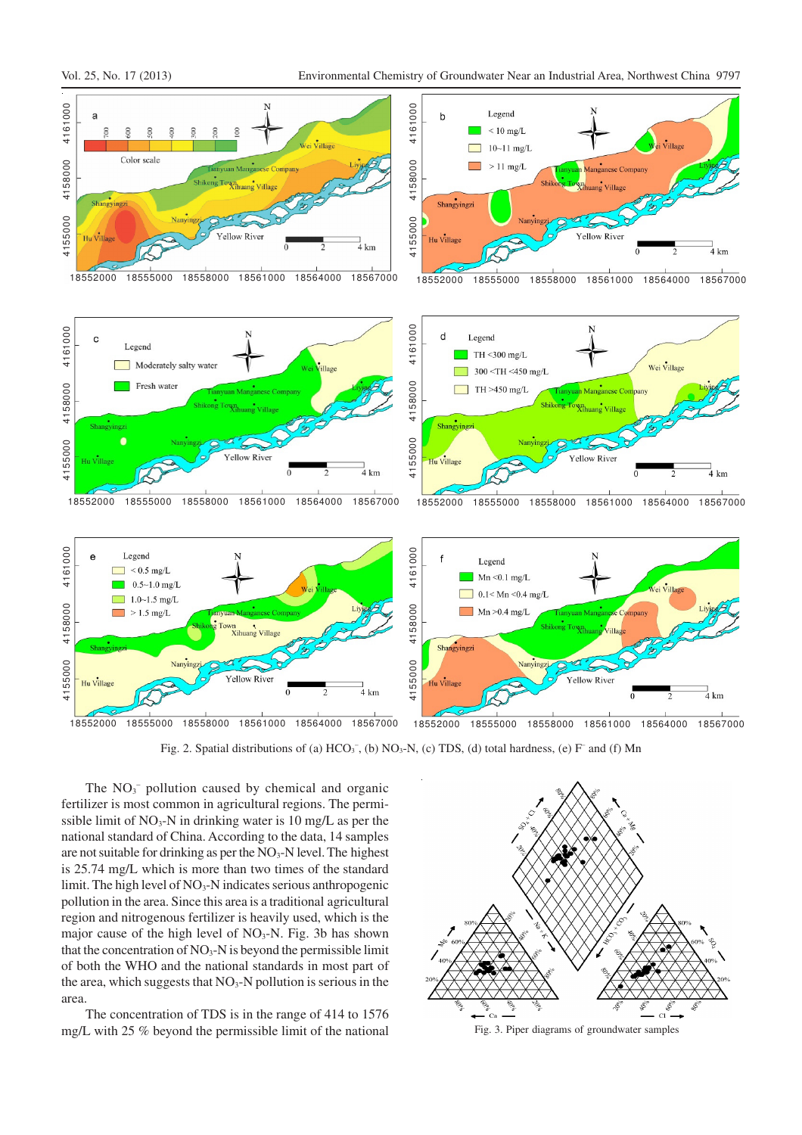

Fig. 2. Spatial distributions of (a)  $HCO<sub>3</sub>^-$ , (b)  $NO<sub>3</sub>-N$ , (c) TDS, (d) total hardness, (e) F<sup>-</sup> and (f) Mn

The  $NO<sub>3</sub><sup>-</sup>$  pollution caused by chemical and organic fertilizer is most common in agricultural regions. The permissible limit of  $NO_3-N$  in drinking water is 10 mg/L as per the national standard of China. According to the data, 14 samples are not suitable for drinking as per the  $NO<sub>3</sub>-N$  level. The highest is 25.74 mg/L which is more than two times of the standard limit. The high level of  $NO<sub>3</sub>$ -N indicates serious anthropogenic pollution in the area. Since this area is a traditional agricultural region and nitrogenous fertilizer is heavily used, which is the major cause of the high level of  $NO<sub>3</sub>-N$ . Fig. 3b has shown that the concentration of  $NO<sub>3</sub>-N$  is beyond the permissible limit of both the WHO and the national standards in most part of the area, which suggests that  $NO<sub>3</sub>-N$  pollution is serious in the area.

The concentration of TDS is in the range of 414 to 1576 mg/L with 25 % beyond the permissible limit of the national Fig. 3. Piper diagrams of groundwater samples

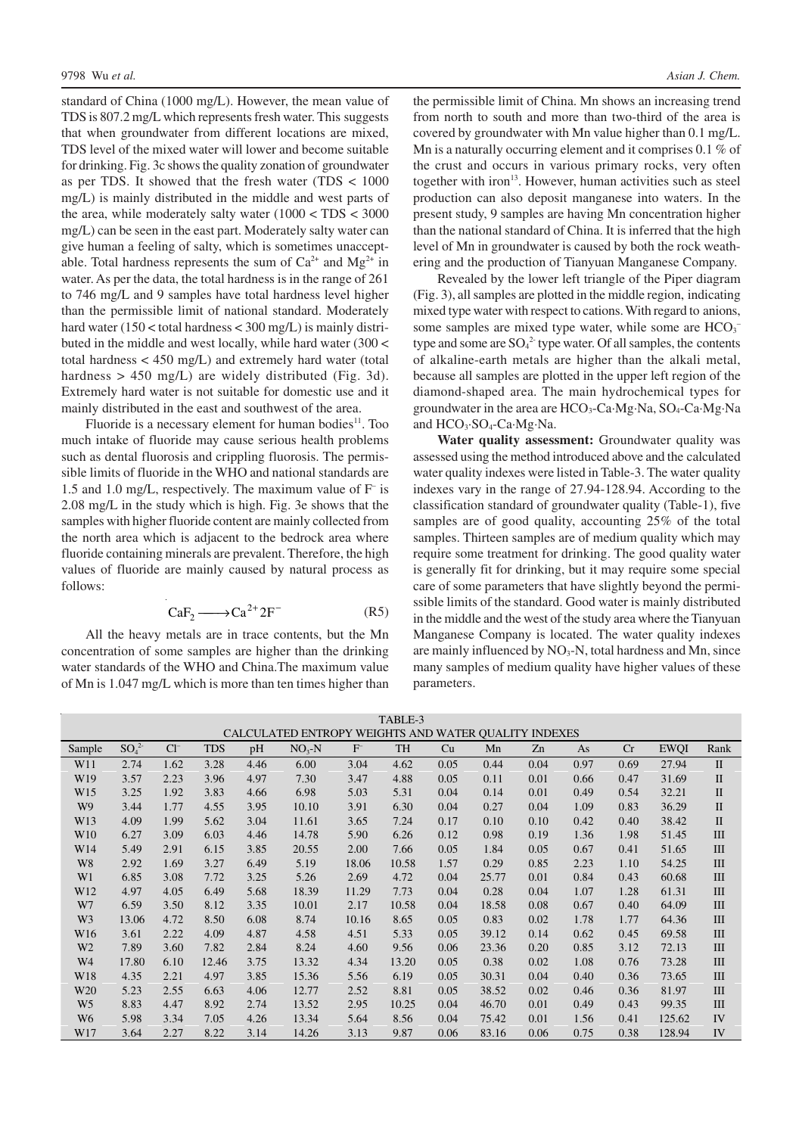standard of China (1000 mg/L). However, the mean value of TDS is 807.2 mg/L which represents fresh water. This suggests that when groundwater from different locations are mixed, TDS level of the mixed water will lower and become suitable for drinking. Fig. 3c shows the quality zonation of groundwater as per TDS. It showed that the fresh water (TDS < 1000 mg/L) is mainly distributed in the middle and west parts of the area, while moderately salty water (1000 < TDS < 3000 mg/L) can be seen in the east part. Moderately salty water can give human a feeling of salty, which is sometimes unacceptable. Total hardness represents the sum of  $Ca^{2+}$  and  $Mg^{2+}$  in water. As per the data, the total hardness is in the range of 261 to 746 mg/L and 9 samples have total hardness level higher than the permissible limit of national standard. Moderately hard water (150 < total hardness < 300 mg/L) is mainly distributed in the middle and west locally, while hard water (300 < total hardness < 450 mg/L) and extremely hard water (total hardness > 450 mg/L) are widely distributed (Fig. 3d). Extremely hard water is not suitable for domestic use and it mainly distributed in the east and southwest of the area.

Fluoride is a necessary element for human bodies<sup>11</sup>. Too much intake of fluoride may cause serious health problems such as dental fluorosis and crippling fluorosis. The permissible limits of fluoride in the WHO and national standards are 1.5 and 1.0 mg/L, respectively. The maximum value of F– is 2.08 mg/L in the study which is high. Fig. 3e shows that the samples with higher fluoride content are mainly collected from the north area which is adjacent to the bedrock area where fluoride containing minerals are prevalent. Therefore, the high values of fluoride are mainly caused by natural process as follows:

$$
CaF_2 \longrightarrow Ca^{2+}2F^-
$$
 (R5)

All the heavy metals are in trace contents, but the Mn concentration of some samples are higher than the drinking water standards of the WHO and China.The maximum value of Mn is 1.047 mg/L which is more than ten times higher than

the permissible limit of China. Mn shows an increasing trend from north to south and more than two-third of the area is covered by groundwater with Mn value higher than 0.1 mg/L. Mn is a naturally occurring element and it comprises 0.1 % of the crust and occurs in various primary rocks, very often together with iron<sup>13</sup>. However, human activities such as steel production can also deposit manganese into waters. In the present study, 9 samples are having Mn concentration higher than the national standard of China. It is inferred that the high level of Mn in groundwater is caused by both the rock weathering and the production of Tianyuan Manganese Company.

Revealed by the lower left triangle of the Piper diagram (Fig. 3), all samples are plotted in the middle region, indicating mixed type water with respect to cations. With regard to anions, some samples are mixed type water, while some are HCO<sub>3</sub><sup>-</sup> type and some are  $SO_4^2$  type water. Of all samples, the contents of alkaline-earth metals are higher than the alkali metal, because all samples are plotted in the upper left region of the diamond-shaped area. The main hydrochemical types for groundwater in the area are  $HCO<sub>3</sub>-Ca·Mg·Na$ ,  $SO<sub>4</sub>-Ca·Mg·Na$ and HCO<sub>3</sub>·SO<sub>4</sub>-Ca·Mg·Na.

**Water quality assessment:** Groundwater quality was assessed using the method introduced above and the calculated water quality indexes were listed in Table-3. The water quality indexes vary in the range of 27.94-128.94. According to the classification standard of groundwater quality (Table-1), five samples are of good quality, accounting 25% of the total samples. Thirteen samples are of medium quality which may require some treatment for drinking. The good quality water is generally fit for drinking, but it may require some special care of some parameters that have slightly beyond the permissible limits of the standard. Good water is mainly distributed in the middle and the west of the study area where the Tianyuan Manganese Company is located. The water quality indexes are mainly influenced by  $NO<sub>3</sub>-N$ , total hardness and Mn, since many samples of medium quality have higher values of these parameters.

| TABLE-3         |                                                      |          |            |      |         |         |       |      |       |      |      |      |             |              |
|-----------------|------------------------------------------------------|----------|------------|------|---------|---------|-------|------|-------|------|------|------|-------------|--------------|
|                 | CALCULATED ENTROPY WEIGHTS AND WATER QUALITY INDEXES |          |            |      |         |         |       |      |       |      |      |      |             |              |
| Sample          | $SO_4^2$                                             | $Cl^{-}$ | <b>TDS</b> | pH   | $NO3-N$ | $F^{-}$ | TH    | Cu   | Mn    | Zn   | As   | Cr   | <b>EWQI</b> | Rank         |
| W11             | 2.74                                                 | 1.62     | 3.28       | 4.46 | 6.00    | 3.04    | 4.62  | 0.05 | 0.44  | 0.04 | 0.97 | 0.69 | 27.94       | $\mathbf{I}$ |
| W <sub>19</sub> | 3.57                                                 | 2.23     | 3.96       | 4.97 | 7.30    | 3.47    | 4.88  | 0.05 | 0.11  | 0.01 | 0.66 | 0.47 | 31.69       | $\mathbf{I}$ |
| W <sub>15</sub> | 3.25                                                 | 1.92     | 3.83       | 4.66 | 6.98    | 5.03    | 5.31  | 0.04 | 0.14  | 0.01 | 0.49 | 0.54 | 32.21       | $\mathbf{I}$ |
| W <sub>9</sub>  | 3.44                                                 | 1.77     | 4.55       | 3.95 | 10.10   | 3.91    | 6.30  | 0.04 | 0.27  | 0.04 | 1.09 | 0.83 | 36.29       | $\mathbf{I}$ |
| W13             | 4.09                                                 | 1.99     | 5.62       | 3.04 | 11.61   | 3.65    | 7.24  | 0.17 | 0.10  | 0.10 | 0.42 | 0.40 | 38.42       | $\mathbf{I}$ |
| W <sub>10</sub> | 6.27                                                 | 3.09     | 6.03       | 4.46 | 14.78   | 5.90    | 6.26  | 0.12 | 0.98  | 0.19 | 1.36 | 1.98 | 51.45       | III          |
| W14             | 5.49                                                 | 2.91     | 6.15       | 3.85 | 20.55   | 2.00    | 7.66  | 0.05 | 1.84  | 0.05 | 0.67 | 0.41 | 51.65       | III          |
| W8              | 2.92                                                 | 1.69     | 3.27       | 6.49 | 5.19    | 18.06   | 10.58 | 1.57 | 0.29  | 0.85 | 2.23 | 1.10 | 54.25       | III          |
| W <sub>1</sub>  | 6.85                                                 | 3.08     | 7.72       | 3.25 | 5.26    | 2.69    | 4.72  | 0.04 | 25.77 | 0.01 | 0.84 | 0.43 | 60.68       | III          |
| W <sub>12</sub> | 4.97                                                 | 4.05     | 6.49       | 5.68 | 18.39   | 11.29   | 7.73  | 0.04 | 0.28  | 0.04 | 1.07 | 1.28 | 61.31       | III          |
| W7              | 6.59                                                 | 3.50     | 8.12       | 3.35 | 10.01   | 2.17    | 10.58 | 0.04 | 18.58 | 0.08 | 0.67 | 0.40 | 64.09       | III          |
| W <sub>3</sub>  | 13.06                                                | 4.72     | 8.50       | 6.08 | 8.74    | 10.16   | 8.65  | 0.05 | 0.83  | 0.02 | 1.78 | 1.77 | 64.36       | III          |
| W <sub>16</sub> | 3.61                                                 | 2.22     | 4.09       | 4.87 | 4.58    | 4.51    | 5.33  | 0.05 | 39.12 | 0.14 | 0.62 | 0.45 | 69.58       | Ш            |
| W <sub>2</sub>  | 7.89                                                 | 3.60     | 7.82       | 2.84 | 8.24    | 4.60    | 9.56  | 0.06 | 23.36 | 0.20 | 0.85 | 3.12 | 72.13       | III          |
| W4              | 17.80                                                | 6.10     | 12.46      | 3.75 | 13.32   | 4.34    | 13.20 | 0.05 | 0.38  | 0.02 | 1.08 | 0.76 | 73.28       | III          |
| W18             | 4.35                                                 | 2.21     | 4.97       | 3.85 | 15.36   | 5.56    | 6.19  | 0.05 | 30.31 | 0.04 | 0.40 | 0.36 | 73.65       | III          |
| W <sub>20</sub> | 5.23                                                 | 2.55     | 6.63       | 4.06 | 12.77   | 2.52    | 8.81  | 0.05 | 38.52 | 0.02 | 0.46 | 0.36 | 81.97       | III          |
| W <sub>5</sub>  | 8.83                                                 | 4.47     | 8.92       | 2.74 | 13.52   | 2.95    | 10.25 | 0.04 | 46.70 | 0.01 | 0.49 | 0.43 | 99.35       | III          |
| W <sub>6</sub>  | 5.98                                                 | 3.34     | 7.05       | 4.26 | 13.34   | 5.64    | 8.56  | 0.04 | 75.42 | 0.01 | 1.56 | 0.41 | 125.62      | IV           |
| W17             | 3.64                                                 | 2.27     | 8.22       | 3.14 | 14.26   | 3.13    | 9.87  | 0.06 | 83.16 | 0.06 | 0.75 | 0.38 | 128.94      | IV           |